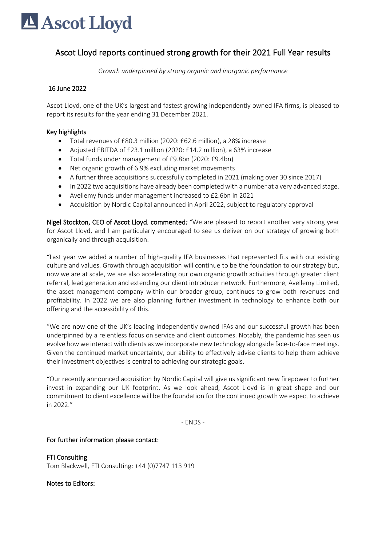# Ascot Lloyd

# Ascot Lloyd reports continued strong growth for their 2021 Full Year results

*Growth underpinned by strong organic and inorganic performance*

# 16 June 2022

Ascot Lloyd, one of the UK's largest and fastest growing independently owned IFA firms, is pleased to report its results for the year ending 31 December 2021.

# Key highlights

- Total revenues of £80.3 million (2020: £62.6 million), a 28% increase
- Adjusted EBITDA of £23.1 million (2020: £14.2 million), a 63% increase
- Total funds under management of £9.8bn (2020: £9.4bn)
- Net organic growth of 6.9% excluding market movements
- A further three acquisitions successfully completed in 2021 (making over 30 since 2017)
- In 2022 two acquisitions have already been completed with a number at a very advanced stage.
- Avellemy funds under management increased to £2.6bn in 2021
- Acquisition by Nordic Capital announced in April 2022, subject to regulatory approval

Nigel Stockton, CEO of Ascot Lloyd, commented*: "*We are pleased to report another very strong year for Ascot Lloyd, and I am particularly encouraged to see us deliver on our strategy of growing both organically and through acquisition.

"Last year we added a number of high-quality IFA businesses that represented fits with our existing culture and values. Growth through acquisition will continue to be the foundation to our strategy but, now we are at scale, we are also accelerating our own organic growth activities through greater client referral, lead generation and extending our client introducer network. Furthermore, Avellemy Limited, the asset management company within our broader group, continues to grow both revenues and profitability. In 2022 we are also planning further investment in technology to enhance both our offering and the accessibility of this.

"We are now one of the UK's leading independently owned IFAs and our successful growth has been underpinned by a relentless focus on service and client outcomes. Notably, the pandemic has seen us evolve how we interact with clients as we incorporate new technology alongside face-to-face meetings. Given the continued market uncertainty, our ability to effectively advise clients to help them achieve their investment objectives is central to achieving our strategic goals.

"Our recently announced acquisition by Nordic Capital will give us significant new firepower to further invest in expanding our UK footprint. As we look ahead, Ascot Lloyd is in great shape and our commitment to client excellence will be the foundation for the continued growth we expect to achieve in 2022."

- ENDS -

### For further information please contact:

FTI Consulting Tom Blackwell, FTI Consulting: +44 (0)7747 113 919

### Notes to Editors: